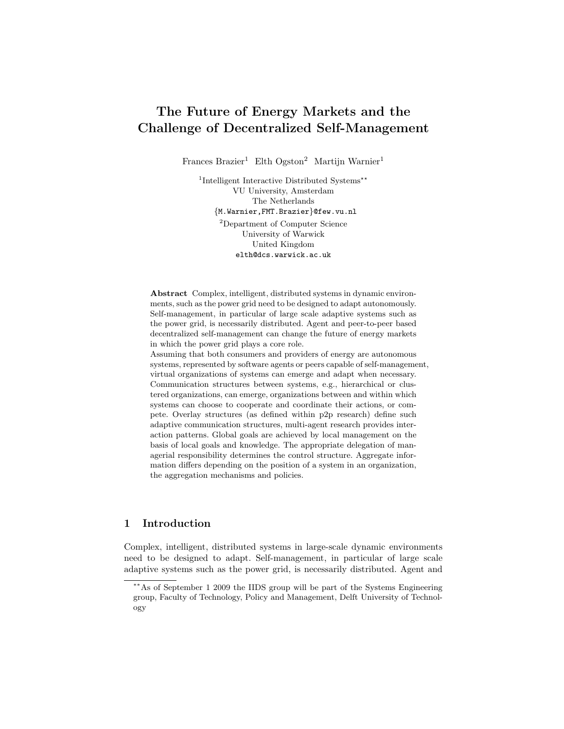# The Future of Energy Markets and the Challenge of Decentralized Self-Management

Frances Brazier<sup>1</sup> Elth Ogston<sup>2</sup> Martijn Warnier<sup>1</sup>

<sup>1</sup>Intelligent Interactive Distributed Systems<sup>\*\*</sup> VU University, Amsterdam The Netherlands {M.Warnier,FMT.Brazier}@few.vu.nl

> <sup>2</sup>Department of Computer Science University of Warwick United Kingdom elth@dcs.warwick.ac.uk

Abstract Complex, intelligent, distributed systems in dynamic environments, such as the power grid need to be designed to adapt autonomously. Self-management, in particular of large scale adaptive systems such as the power grid, is necessarily distributed. Agent and peer-to-peer based decentralized self-management can change the future of energy markets in which the power grid plays a core role.

Assuming that both consumers and providers of energy are autonomous systems, represented by software agents or peers capable of self-management, virtual organizations of systems can emerge and adapt when necessary. Communication structures between systems, e.g., hierarchical or clustered organizations, can emerge, organizations between and within which systems can choose to cooperate and coordinate their actions, or compete. Overlay structures (as defined within p2p research) define such adaptive communication structures, multi-agent research provides interaction patterns. Global goals are achieved by local management on the basis of local goals and knowledge. The appropriate delegation of managerial responsibility determines the control structure. Aggregate information differs depending on the position of a system in an organization, the aggregation mechanisms and policies.

## 1 Introduction

Complex, intelligent, distributed systems in large-scale dynamic environments need to be designed to adapt. Self-management, in particular of large scale adaptive systems such as the power grid, is necessarily distributed. Agent and

<sup>∗∗</sup>As of September 1 2009 the IIDS group will be part of the Systems Engineering group, Faculty of Technology, Policy and Management, Delft University of Technology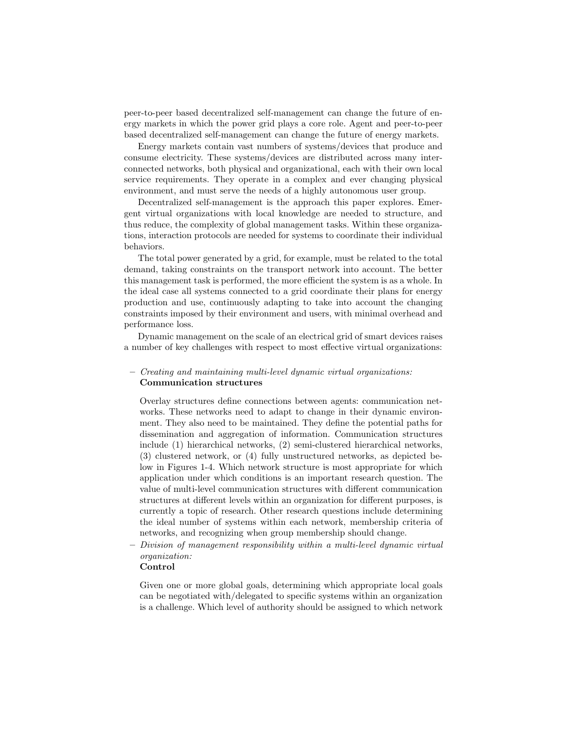peer-to-peer based decentralized self-management can change the future of energy markets in which the power grid plays a core role. Agent and peer-to-peer based decentralized self-management can change the future of energy markets.

Energy markets contain vast numbers of systems/devices that produce and consume electricity. These systems/devices are distributed across many interconnected networks, both physical and organizational, each with their own local service requirements. They operate in a complex and ever changing physical environment, and must serve the needs of a highly autonomous user group.

Decentralized self-management is the approach this paper explores. Emergent virtual organizations with local knowledge are needed to structure, and thus reduce, the complexity of global management tasks. Within these organizations, interaction protocols are needed for systems to coordinate their individual behaviors.

The total power generated by a grid, for example, must be related to the total demand, taking constraints on the transport network into account. The better this management task is performed, the more efficient the system is as a whole. In the ideal case all systems connected to a grid coordinate their plans for energy production and use, continuously adapting to take into account the changing constraints imposed by their environment and users, with minimal overhead and performance loss.

Dynamic management on the scale of an electrical grid of smart devices raises a number of key challenges with respect to most effective virtual organizations:

## – Creating and maintaining multi-level dynamic virtual organizations: Communication structures

Overlay structures define connections between agents: communication networks. These networks need to adapt to change in their dynamic environment. They also need to be maintained. They define the potential paths for dissemination and aggregation of information. Communication structures include (1) hierarchical networks, (2) semi-clustered hierarchical networks, (3) clustered network, or (4) fully unstructured networks, as depicted below in Figures 1-4. Which network structure is most appropriate for which application under which conditions is an important research question. The value of multi-level communication structures with different communication structures at different levels within an organization for different purposes, is currently a topic of research. Other research questions include determining the ideal number of systems within each network, membership criteria of networks, and recognizing when group membership should change.

– Division of management responsibility within a multi-level dynamic virtual organization:

# Control

Given one or more global goals, determining which appropriate local goals can be negotiated with/delegated to specific systems within an organization is a challenge. Which level of authority should be assigned to which network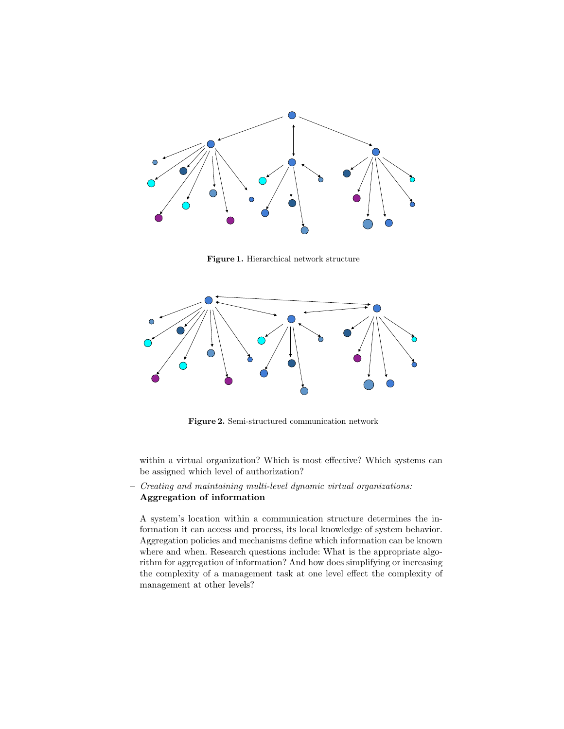



Figure 2. Semi-structured communication network

within a virtual organization? Which is most effective? Which systems can be assigned which level of authorization?

– Creating and maintaining multi-level dynamic virtual organizations: Aggregation of information

A system's location within a communication structure determines the information it can access and process, its local knowledge of system behavior. Aggregation policies and mechanisms define which information can be known where and when. Research questions include: What is the appropriate algorithm for aggregation of information? And how does simplifying or increasing the complexity of a management task at one level effect the complexity of management at other levels?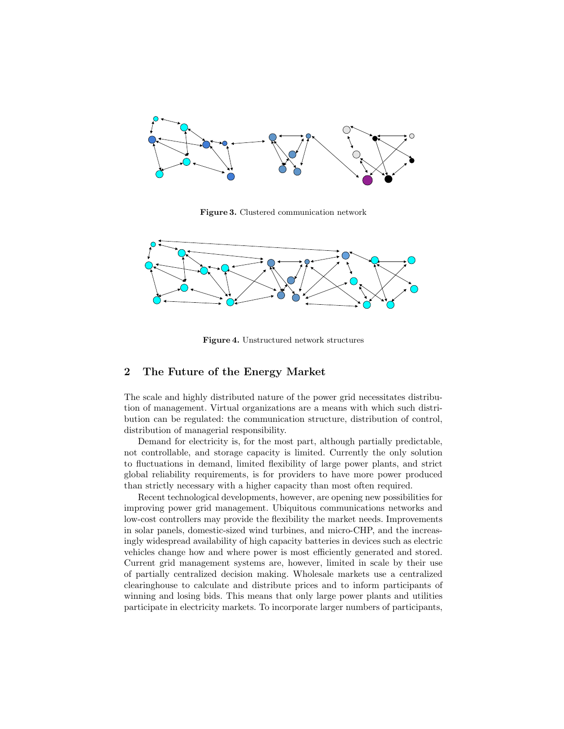

Figure 3. Clustered communication network



Figure 4. Unstructured network structures

## 2 The Future of the Energy Market

The scale and highly distributed nature of the power grid necessitates distribution of management. Virtual organizations are a means with which such distribution can be regulated: the communication structure, distribution of control, distribution of managerial responsibility.

Demand for electricity is, for the most part, although partially predictable, not controllable, and storage capacity is limited. Currently the only solution to fluctuations in demand, limited flexibility of large power plants, and strict global reliability requirements, is for providers to have more power produced than strictly necessary with a higher capacity than most often required.

Recent technological developments, however, are opening new possibilities for improving power grid management. Ubiquitous communications networks and low-cost controllers may provide the flexibility the market needs. Improvements in solar panels, domestic-sized wind turbines, and micro-CHP, and the increasingly widespread availability of high capacity batteries in devices such as electric vehicles change how and where power is most efficiently generated and stored. Current grid management systems are, however, limited in scale by their use of partially centralized decision making. Wholesale markets use a centralized clearinghouse to calculate and distribute prices and to inform participants of winning and losing bids. This means that only large power plants and utilities participate in electricity markets. To incorporate larger numbers of participants,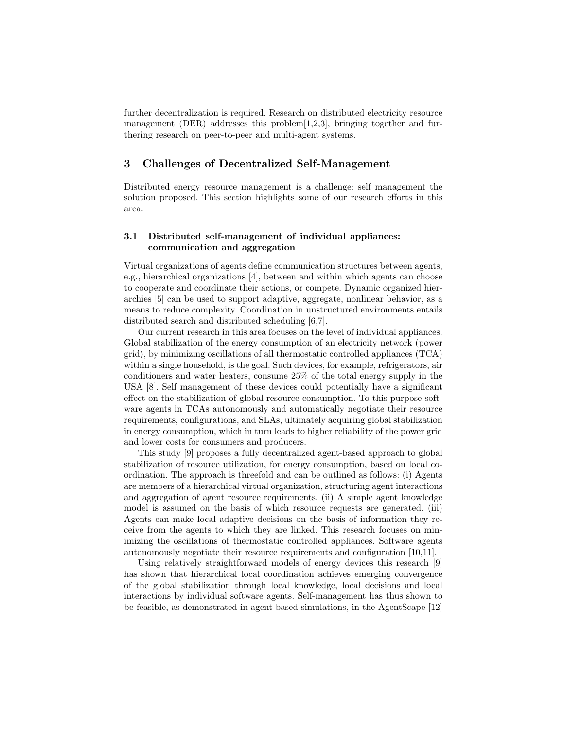further decentralization is required. Research on distributed electricity resource management (DER) addresses this problem[1,2,3], bringing together and furthering research on peer-to-peer and multi-agent systems.

## 3 Challenges of Decentralized Self-Management

Distributed energy resource management is a challenge: self management the solution proposed. This section highlights some of our research efforts in this area.

#### 3.1 Distributed self-management of individual appliances: communication and aggregation

Virtual organizations of agents define communication structures between agents, e.g., hierarchical organizations [4], between and within which agents can choose to cooperate and coordinate their actions, or compete. Dynamic organized hierarchies [5] can be used to support adaptive, aggregate, nonlinear behavior, as a means to reduce complexity. Coordination in unstructured environments entails distributed search and distributed scheduling [6,7].

Our current research in this area focuses on the level of individual appliances. Global stabilization of the energy consumption of an electricity network (power grid), by minimizing oscillations of all thermostatic controlled appliances (TCA) within a single household, is the goal. Such devices, for example, refrigerators, air conditioners and water heaters, consume 25% of the total energy supply in the USA [8]. Self management of these devices could potentially have a significant effect on the stabilization of global resource consumption. To this purpose software agents in TCAs autonomously and automatically negotiate their resource requirements, configurations, and SLAs, ultimately acquiring global stabilization in energy consumption, which in turn leads to higher reliability of the power grid and lower costs for consumers and producers.

This study [9] proposes a fully decentralized agent-based approach to global stabilization of resource utilization, for energy consumption, based on local coordination. The approach is threefold and can be outlined as follows: (i) Agents are members of a hierarchical virtual organization, structuring agent interactions and aggregation of agent resource requirements. (ii) A simple agent knowledge model is assumed on the basis of which resource requests are generated. (iii) Agents can make local adaptive decisions on the basis of information they receive from the agents to which they are linked. This research focuses on minimizing the oscillations of thermostatic controlled appliances. Software agents autonomously negotiate their resource requirements and configuration [10,11].

Using relatively straightforward models of energy devices this research [9] has shown that hierarchical local coordination achieves emerging convergence of the global stabilization through local knowledge, local decisions and local interactions by individual software agents. Self-management has thus shown to be feasible, as demonstrated in agent-based simulations, in the AgentScape [12]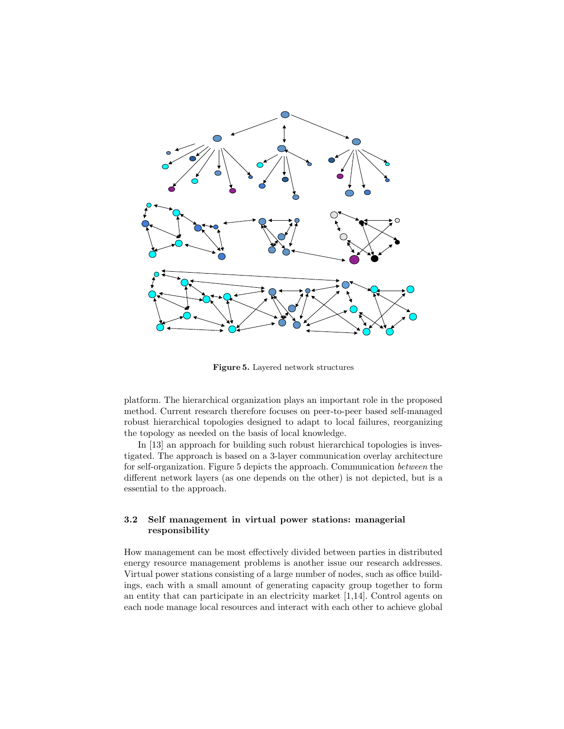

Figure 5. Layered network structures

platform. The hierarchical organization plays an important role in the proposed method. Current research therefore focuses on peer-to-peer based self-managed robust hierarchical topologies designed to adapt to local failures, reorganizing the topology as needed on the basis of local knowledge.

In [13] an approach for building such robust hierarchical topologies is investigated. The approach is based on a 3-layer communication overlay architecture for self-organization. Figure 5 depicts the approach. Communication between the different network layers (as one depends on the other) is not depicted, but is a essential to the approach.

## 3.2 Self management in virtual power stations: managerial responsibility

How management can be most effectively divided between parties in distributed energy resource management problems is another issue our research addresses. Virtual power stations consisting of a large number of nodes, such as office buildings, each with a small amount of generating capacity group together to form an entity that can participate in an electricity market [1,14]. Control agents on each node manage local resources and interact with each other to achieve global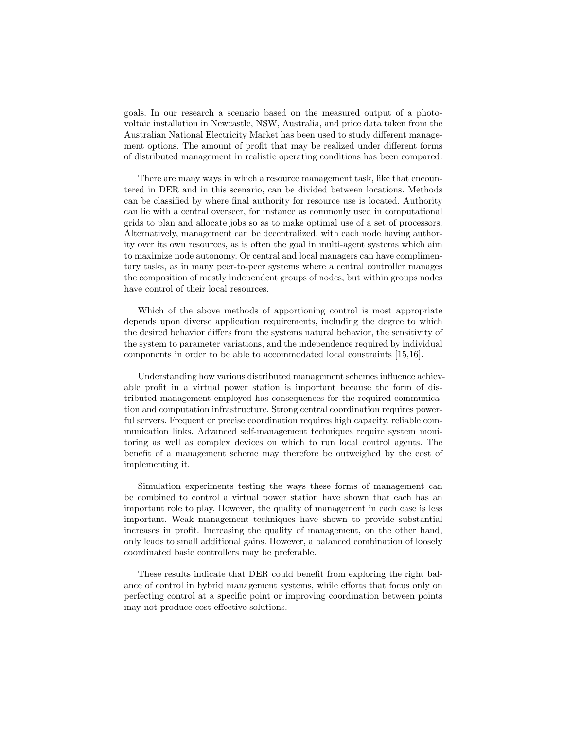goals. In our research a scenario based on the measured output of a photovoltaic installation in Newcastle, NSW, Australia, and price data taken from the Australian National Electricity Market has been used to study different management options. The amount of profit that may be realized under different forms of distributed management in realistic operating conditions has been compared.

There are many ways in which a resource management task, like that encountered in DER and in this scenario, can be divided between locations. Methods can be classified by where final authority for resource use is located. Authority can lie with a central overseer, for instance as commonly used in computational grids to plan and allocate jobs so as to make optimal use of a set of processors. Alternatively, management can be decentralized, with each node having authority over its own resources, as is often the goal in multi-agent systems which aim to maximize node autonomy. Or central and local managers can have complimentary tasks, as in many peer-to-peer systems where a central controller manages the composition of mostly independent groups of nodes, but within groups nodes have control of their local resources.

Which of the above methods of apportioning control is most appropriate depends upon diverse application requirements, including the degree to which the desired behavior differs from the systems natural behavior, the sensitivity of the system to parameter variations, and the independence required by individual components in order to be able to accommodated local constraints [15,16].

Understanding how various distributed management schemes influence achievable profit in a virtual power station is important because the form of distributed management employed has consequences for the required communication and computation infrastructure. Strong central coordination requires powerful servers. Frequent or precise coordination requires high capacity, reliable communication links. Advanced self-management techniques require system monitoring as well as complex devices on which to run local control agents. The benefit of a management scheme may therefore be outweighed by the cost of implementing it.

Simulation experiments testing the ways these forms of management can be combined to control a virtual power station have shown that each has an important role to play. However, the quality of management in each case is less important. Weak management techniques have shown to provide substantial increases in profit. Increasing the quality of management, on the other hand, only leads to small additional gains. However, a balanced combination of loosely coordinated basic controllers may be preferable.

These results indicate that DER could benefit from exploring the right balance of control in hybrid management systems, while efforts that focus only on perfecting control at a specific point or improving coordination between points may not produce cost effective solutions.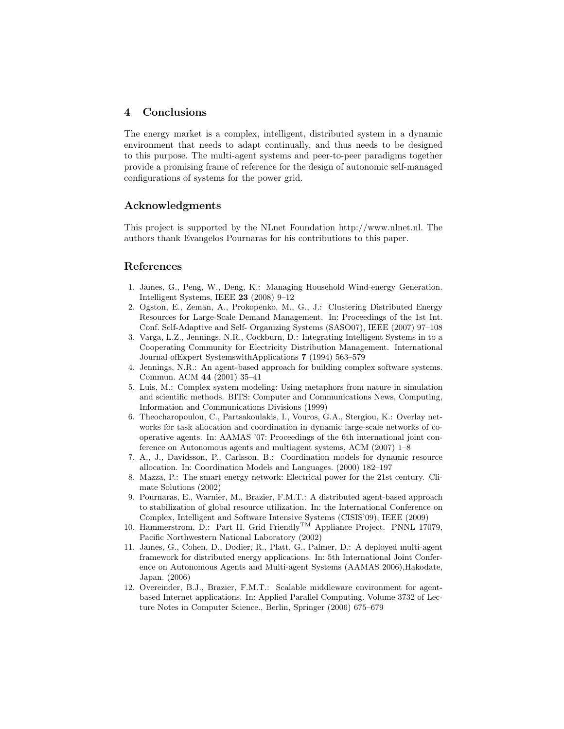# 4 Conclusions

The energy market is a complex, intelligent, distributed system in a dynamic environment that needs to adapt continually, and thus needs to be designed to this purpose. The multi-agent systems and peer-to-peer paradigms together provide a promising frame of reference for the design of autonomic self-managed configurations of systems for the power grid.

## Acknowledgments

This project is supported by the NLnet Foundation http://www.nlnet.nl. The authors thank Evangelos Pournaras for his contributions to this paper.

## References

- 1. James, G., Peng, W., Deng, K.: Managing Household Wind-energy Generation. Intelligent Systems, IEEE 23 (2008) 9–12
- 2. Ogston, E., Zeman, A., Prokopenko, M., G., J.: Clustering Distributed Energy Resources for Large-Scale Demand Management. In: Proceedings of the 1st Int. Conf. Self-Adaptive and Self- Organizing Systems (SASO07), IEEE (2007) 97–108
- 3. Varga, L.Z., Jennings, N.R., Cockburn, D.: Integrating Intelligent Systems in to a Cooperating Community for Electricity Distribution Management. International Journal ofExpert SystemswithApplications 7 (1994) 563–579
- 4. Jennings, N.R.: An agent-based approach for building complex software systems. Commun. ACM 44 (2001) 35–41
- 5. Luis, M.: Complex system modeling: Using metaphors from nature in simulation and scientific methods. BITS: Computer and Communications News, Computing, Information and Communications Divisions (1999)
- 6. Theocharopoulou, C., Partsakoulakis, I., Vouros, G.A., Stergiou, K.: Overlay networks for task allocation and coordination in dynamic large-scale networks of cooperative agents. In: AAMAS '07: Proceedings of the 6th international joint conference on Autonomous agents and multiagent systems, ACM (2007) 1–8
- 7. A., J., Davidsson, P., Carlsson, B.: Coordination models for dynamic resource allocation. In: Coordination Models and Languages. (2000) 182–197
- 8. Mazza, P.: The smart energy network: Electrical power for the 21st century. Climate Solutions (2002)
- 9. Pournaras, E., Warnier, M., Brazier, F.M.T.: A distributed agent-based approach to stabilization of global resource utilization. In: the International Conference on Complex, Intelligent and Software Intensive Systems (CISIS'09), IEEE (2009)
- 10. Hammerstrom, D.: Part II. Grid Friendly<sup>TM</sup> Appliance Project. PNNL 17079, Pacific Northwestern National Laboratory (2002)
- 11. James, G., Cohen, D., Dodier, R., Platt, G., Palmer, D.: A deployed multi-agent framework for distributed energy applications. In: 5th International Joint Conference on Autonomous Agents and Multi-agent Systems (AAMAS 2006),Hakodate, Japan. (2006)
- 12. Overeinder, B.J., Brazier, F.M.T.: Scalable middleware environment for agentbased Internet applications. In: Applied Parallel Computing. Volume 3732 of Lecture Notes in Computer Science., Berlin, Springer (2006) 675–679